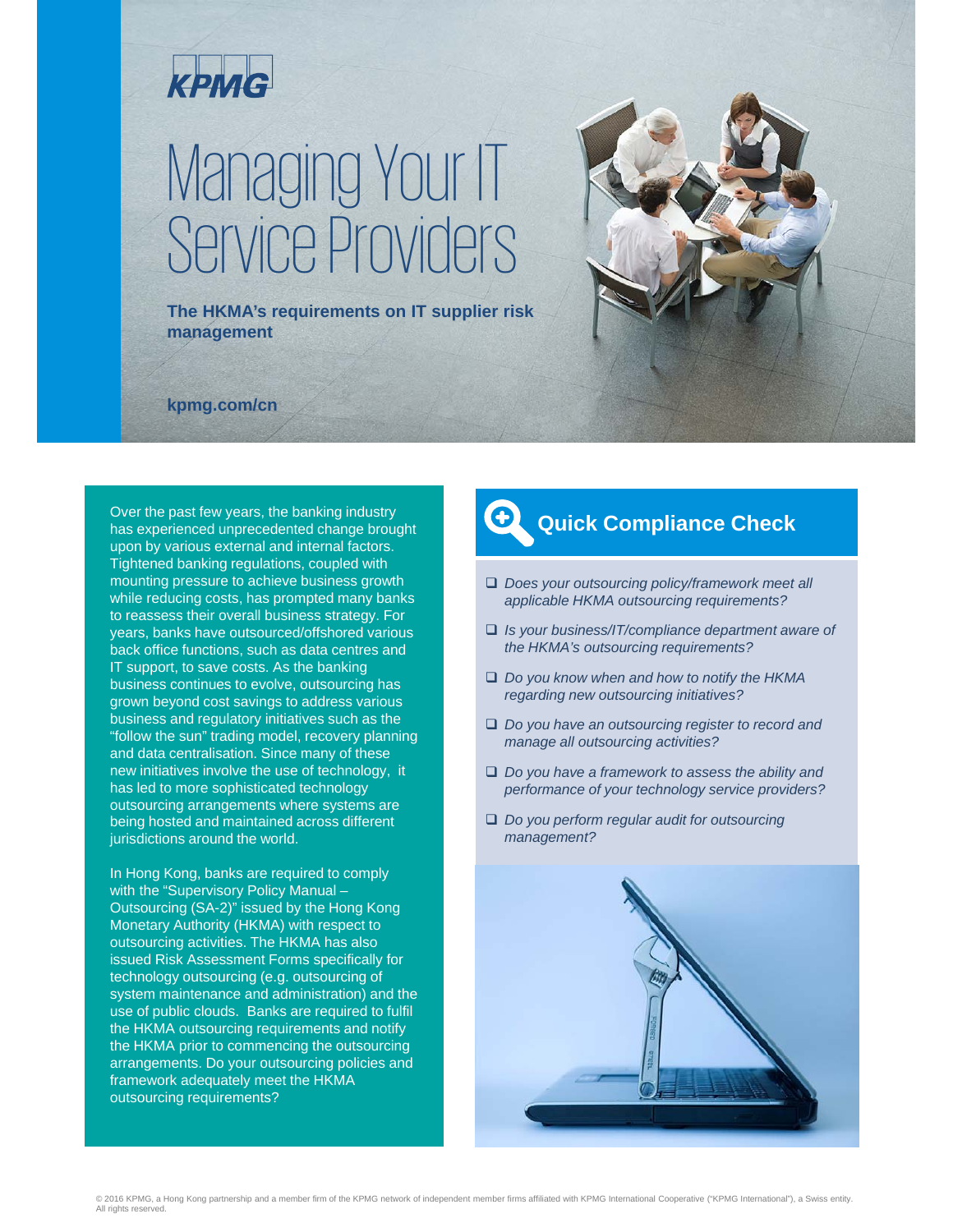

# Managing Your IT Service Providers

**The HKMA's requirements on IT supplier risk management**



**kpmg.com/cn**

Over the past few years, the banking industry has experienced unprecedented change brought upon by various external and internal factors. Tightened banking regulations, coupled with mounting pressure to achieve business growth while reducing costs, has prompted many banks to reassess their overall business strategy. For years, banks have outsourced/offshored various back office functions, such as data centres and IT support, to save costs. As the banking business continues to evolve, outsourcing has grown beyond cost savings to address various business and regulatory initiatives such as the "follow the sun" trading model, recovery planning and data centralisation. Since many of these new initiatives involve the use of technology, it has led to more sophisticated technology outsourcing arrangements where systems are being hosted and maintained across different jurisdictions around the world.

In Hong Kong, banks are required to comply with the "Supervisory Policy Manual -Outsourcing (SA-2)" issued by the Hong Kong Monetary Authority (HKMA) with respect to outsourcing activities. The HKMA has also issued Risk Assessment Forms specifically for technology outsourcing (e.g. outsourcing of system maintenance and administration) and the use of public clouds. Banks are required to fulfil the HKMA outsourcing requirements and notify the HKMA prior to commencing the outsourcing arrangements. Do your outsourcing policies and framework adequately meet the HKMA outsourcing requirements?

### **Quick Compliance Check**

- *Does your outsourcing policy/framework meet all applicable HKMA outsourcing requirements?*
- *Is your business/IT/compliance department aware of the HKMA's outsourcing requirements?*
- *Do you know when and how to notify the HKMA regarding new outsourcing initiatives?*
- *Do you have an outsourcing register to record and manage all outsourcing activities?*
- *Do you have a framework to assess the ability and performance of your technology service providers?*
- *Do you perform regular audit for outsourcing management?*

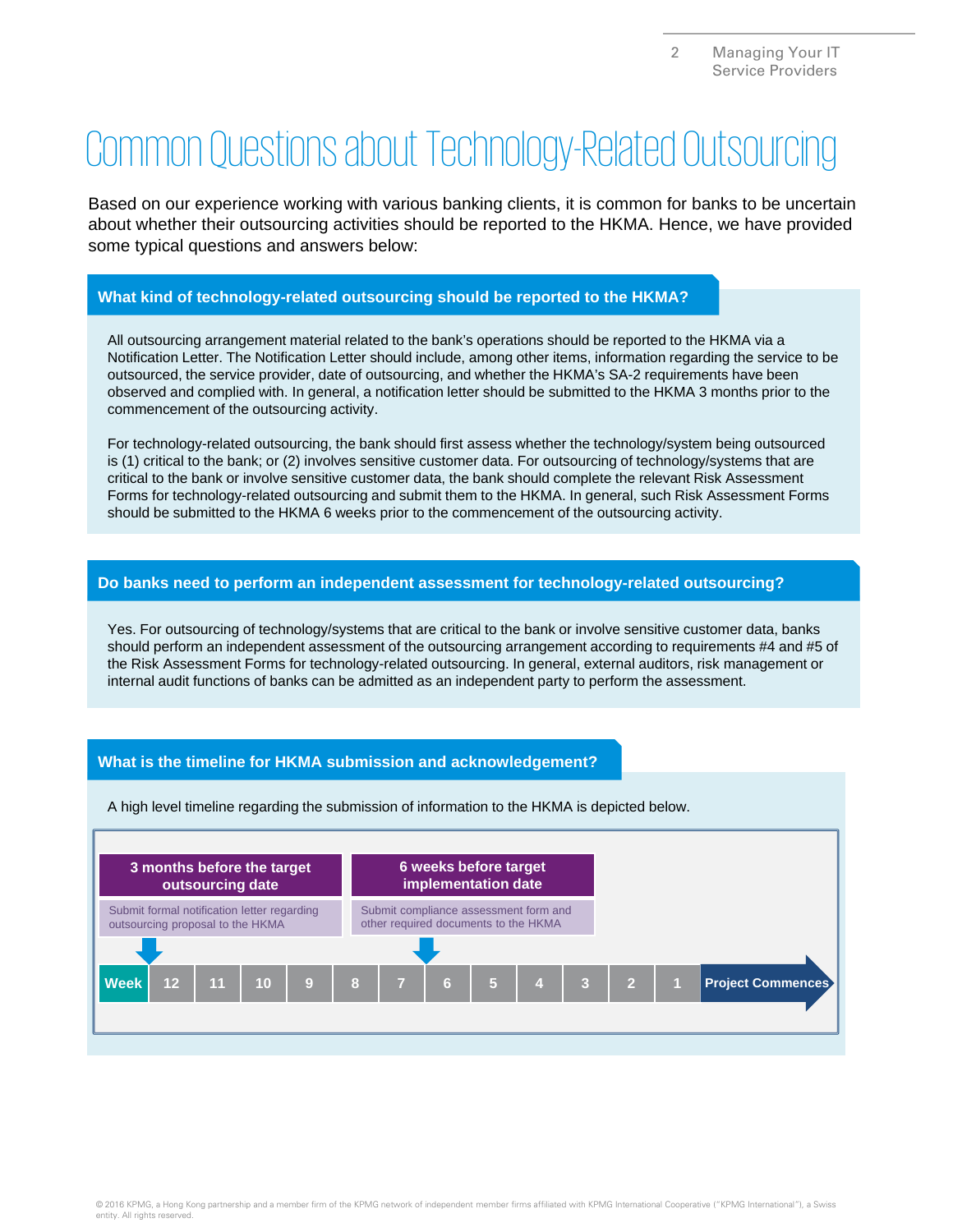## Common Questions about Technology-Related Outsourcing

Based on our experience working with various banking clients, it is common for banks to be uncertain about whether their outsourcing activities should be reported to the HKMA. Hence, we have provided some typical questions and answers below:

#### **What kind of technology-related outsourcing should be reported to the HKMA?**

All outsourcing arrangement material related to the bank's operations should be reported to the HKMA via a Notification Letter. The Notification Letter should include, among other items, information regarding the service to be outsourced, the service provider, date of outsourcing, and whether the HKMA's SA-2 requirements have been observed and complied with. In general, a notification letter should be submitted to the HKMA 3 months prior to the commencement of the outsourcing activity.

For technology-related outsourcing, the bank should first assess whether the technology/system being outsourced is (1) critical to the bank; or (2) involves sensitive customer data. For outsourcing of technology/systems that are critical to the bank or involve sensitive customer data, the bank should complete the relevant Risk Assessment Forms for technology-related outsourcing and submit them to the HKMA. In general, such Risk Assessment Forms should be submitted to the HKMA 6 weeks prior to the commencement of the outsourcing activity.

#### **Do banks need to perform an independent assessment for technology-related outsourcing?**

Yes. For outsourcing of technology/systems that are critical to the bank or involve sensitive customer data, banks should perform an independent assessment of the outsourcing arrangement according to requirements #4 and #5 of the Risk Assessment Forms for technology-related outsourcing. In general, external auditors, risk management or internal audit functions of banks can be admitted as an independent party to perform the assessment.

#### **What is the timeline for HKMA submission and acknowledgement?**

A high level timeline regarding the submission of information to the HKMA is depicted below.

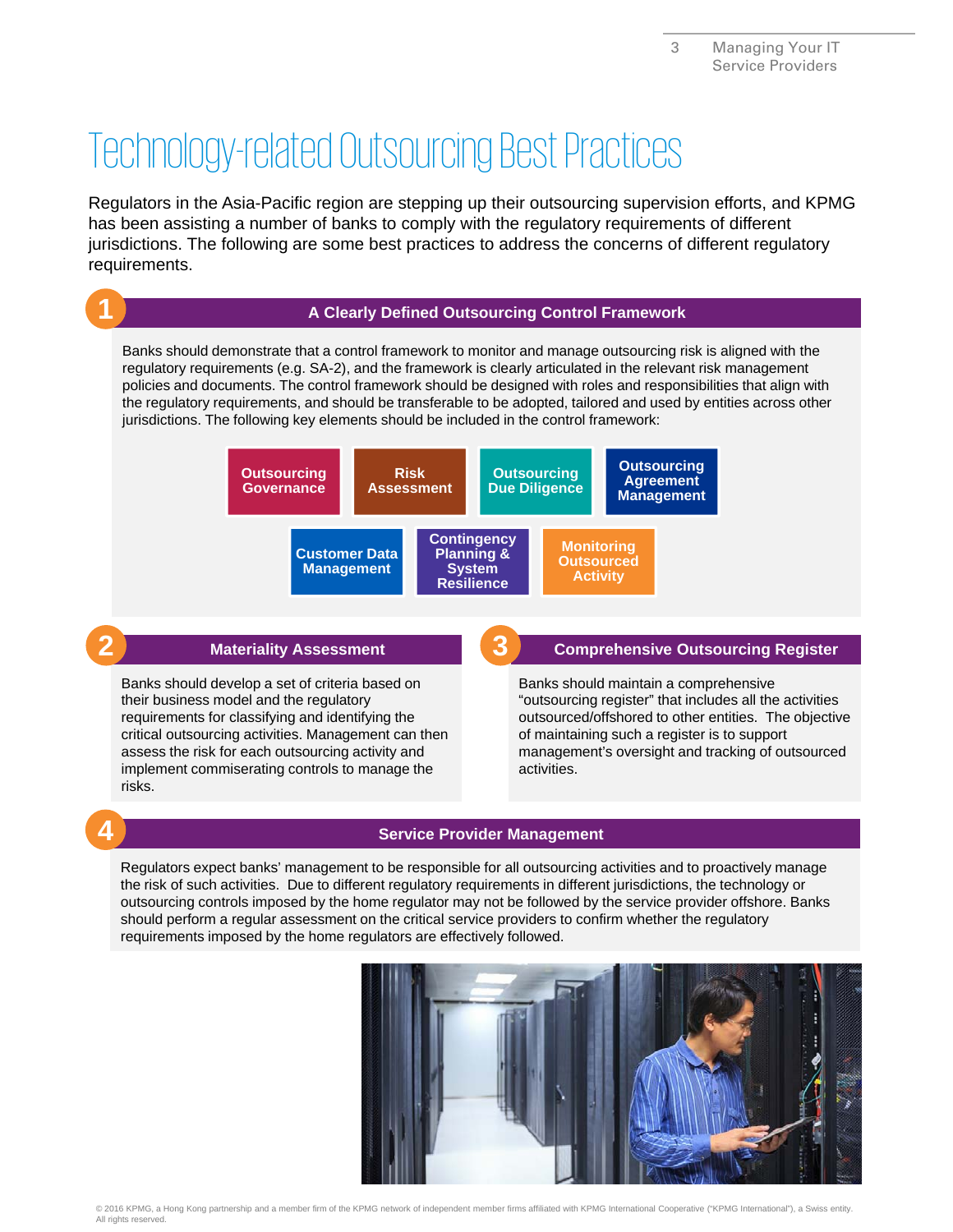## Technology-related Outsourcing Best Practices

Regulators in the Asia-Pacific region are stepping up their outsourcing supervision efforts, and KPMG has been assisting a number of banks to comply with the regulatory requirements of different jurisdictions. The following are some best practices to address the concerns of different regulatory requirements.



#### **2 Materiality Assessment**

Banks should develop a set of criteria based on their business model and the regulatory requirements for classifying and identifying the critical outsourcing activities. Management can then assess the risk for each outsourcing activity and implement commiserating controls to manage the risks.

#### **3 Comprehensive Outsourcing Register**

Banks should maintain a comprehensive "outsourcing register" that includes all the activities outsourced/offshored to other entities. The objective of maintaining such a register is to support management's oversight and tracking of outsourced activities.

#### **4 Service Provider Management**

Regulators expect banks' management to be responsible for all outsourcing activities and to proactively manage the risk of such activities. Due to different regulatory requirements in different jurisdictions, the technology or outsourcing controls imposed by the home regulator may not be followed by the service provider offshore. Banks should perform a regular assessment on the critical service providers to confirm whether the regulatory requirements imposed by the home regulators are effectively followed.